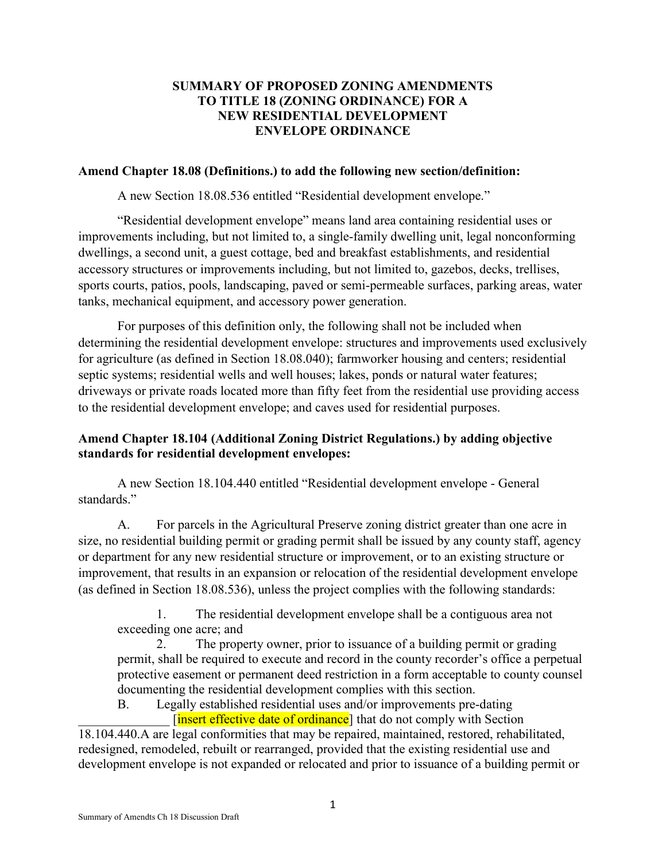### **SUMMARY OF PROPOSED ZONING AMENDMENTS TO TITLE 18 (ZONING ORDINANCE) FOR A NEW RESIDENTIAL DEVELOPMENT ENVELOPE ORDINANCE**

#### **Amend Chapter 18.08 (Definitions.) to add the following new section/definition:**

A new Section 18.08.536 entitled "Residential development envelope."

"Residential development envelope" means land area containing residential uses or improvements including, but not limited to, a single-family dwelling unit, legal nonconforming dwellings, a second unit, a guest cottage, bed and breakfast establishments, and residential accessory structures or improvements including, but not limited to, gazebos, decks, trellises, sports courts, patios, pools, landscaping, paved or semi-permeable surfaces, parking areas, water tanks, mechanical equipment, and accessory power generation.

For purposes of this definition only, the following shall not be included when determining the residential development envelope: structures and improvements used exclusively for agriculture (as defined in Section 18.08.040); farmworker housing and centers; residential septic systems; residential wells and well houses; lakes, ponds or natural water features; driveways or private roads located more than fifty feet from the residential use providing access to the residential development envelope; and caves used for residential purposes.

### **Amend Chapter 18.104 (Additional Zoning District Regulations.) by adding objective standards for residential development envelopes:**

A new Section 18.104.440 entitled "Residential development envelope - General standards."

A. For parcels in the Agricultural Preserve zoning district greater than one acre in size, no residential building permit or grading permit shall be issued by any county staff, agency or department for any new residential structure or improvement, or to an existing structure or improvement, that results in an expansion or relocation of the residential development envelope (as defined in Section 18.08.536), unless the project complies with the following standards:

1. The residential development envelope shall be a contiguous area not exceeding one acre; and

2. The property owner, prior to issuance of a building permit or grading permit, shall be required to execute and record in the county recorder's office a perpetual protective easement or permanent deed restriction in a form acceptable to county counsel documenting the residential development complies with this section.

B. Legally established residential uses and/or improvements pre-dating [insert effective date of ordinance] that do not comply with Section

18.104.440.A are legal conformities that may be repaired, maintained, restored, rehabilitated, redesigned, remodeled, rebuilt or rearranged, provided that the existing residential use and development envelope is not expanded or relocated and prior to issuance of a building permit or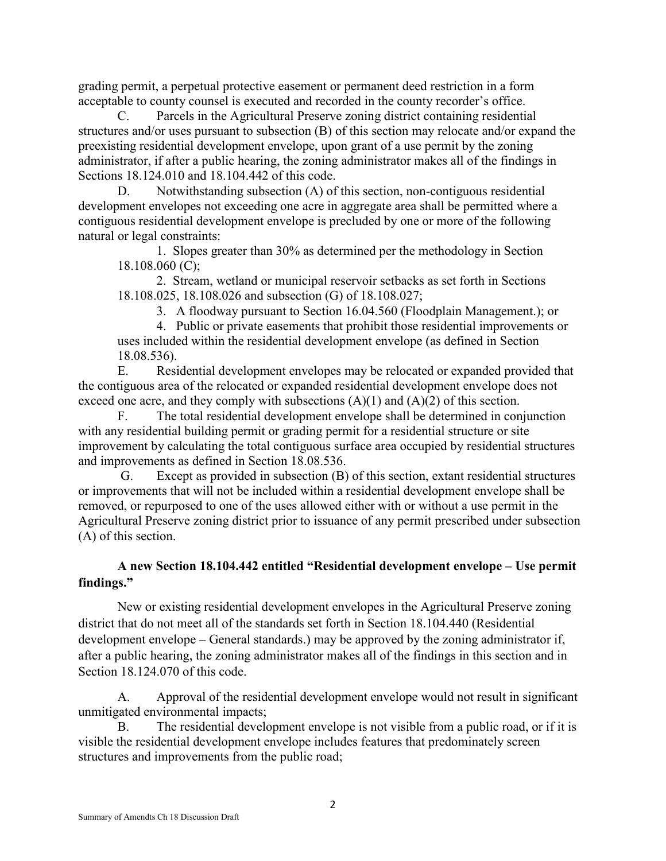grading permit, a perpetual protective easement or permanent deed restriction in a form acceptable to county counsel is executed and recorded in the county recorder's office.

C. Parcels in the Agricultural Preserve zoning district containing residential structures and/or uses pursuant to subsection (B) of this section may relocate and/or expand the preexisting residential development envelope, upon grant of a use permit by the zoning administrator, if after a public hearing, the zoning administrator makes all of the findings in Sections 18.124.010 and 18.104.442 of this code.

D. Notwithstanding subsection (A) of this section, non-contiguous residential development envelopes not exceeding one acre in aggregate area shall be permitted where a contiguous residential development envelope is precluded by one or more of the following natural or legal constraints:

1. Slopes greater than 30% as determined per the methodology in Section 18.108.060 (C);

2. Stream, wetland or municipal reservoir setbacks as set forth in Sections 18.108.025, 18.108.026 and subsection (G) of 18.108.027;

3. A floodway pursuant to Section 16.04.560 (Floodplain Management.); or

4. Public or private easements that prohibit those residential improvements or uses included within the residential development envelope (as defined in Section 18.08.536).

E. Residential development envelopes may be relocated or expanded provided that the contiguous area of the relocated or expanded residential development envelope does not exceed one acre, and they comply with subsections  $(A)(1)$  and  $(A)(2)$  of this section.

F. The total residential development envelope shall be determined in conjunction with any residential building permit or grading permit for a residential structure or site improvement by calculating the total contiguous surface area occupied by residential structures and improvements as defined in Section 18.08.536.

Except as provided in subsection  $(B)$  of this section, extant residential structures or improvements that will not be included within a residential development envelope shall be removed, or repurposed to one of the uses allowed either with or without a use permit in the Agricultural Preserve zoning district prior to issuance of any permit prescribed under subsection (A) of this section.

### **A new Section 18.104.442 entitled "Residential development envelope – Use permit findings."**

New or existing residential development envelopes in the Agricultural Preserve zoning district that do not meet all of the standards set forth in Section 18.104.440 (Residential development envelope – General standards.) may be approved by the zoning administrator if, after a public hearing, the zoning administrator makes all of the findings in this section and in Section 18.124.070 of this code.

A. Approval of the residential development envelope would not result in significant unmitigated environmental impacts;

B. The residential development envelope is not visible from a public road, or if it is visible the residential development envelope includes features that predominately screen structures and improvements from the public road;